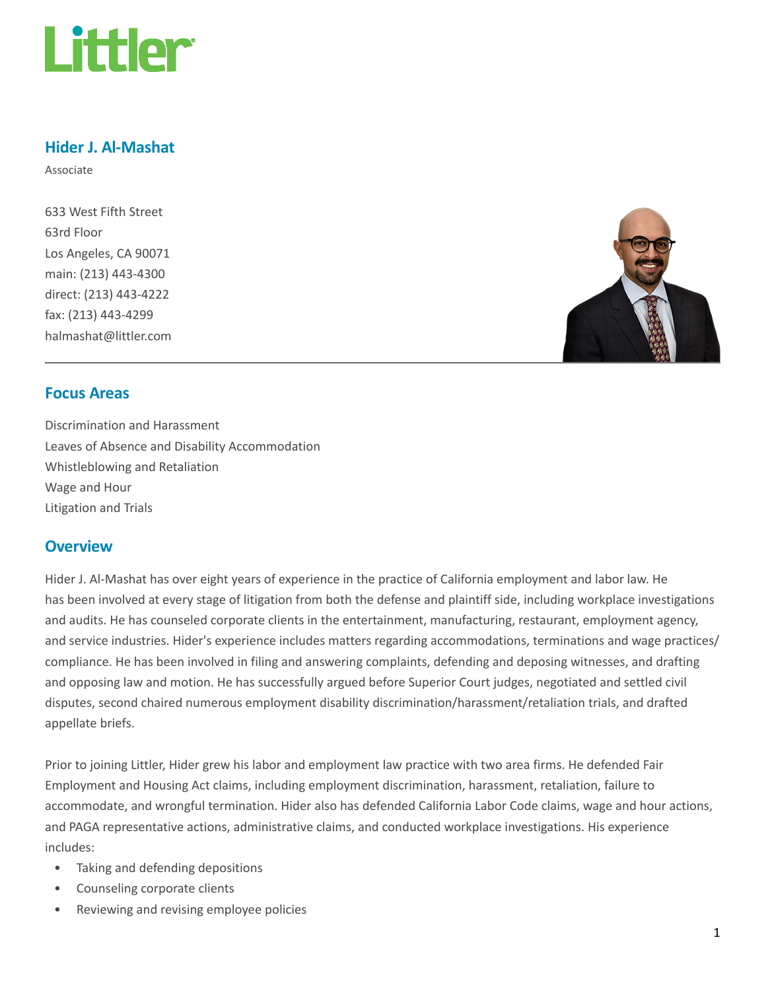

# Hider J. Al-Mashat

Associate

633 West Fifth Street 63rd Floor Los Angeles, CA 90071 main: (213) 443-4300 direct: (213) 443-4222 fax: (213) 443-4299 halmashat@littler.com



### Focus Areas

Discrimination and Harassment Leaves of Absence and Disability Accommodation Whistleblowing and Retaliation Wage and Hour Litigation and Trials

#### **Overview**

Hider J. Al-Mashat has over eight years of experience in the practice of California employment and labor law. He has been involved at every stage of litigation from both the defense and plaintiff side, including workplace investigations and audits. He has counseled corporate clients in the entertainment, manufacturing, restaurant, employment agency, and service industries. Hider's experience includes matters regarding accommodations, terminations and wage practices/ compliance. He has been involved in filing and answering complaints, defending and deposing witnesses, and drafting and opposing law and motion. He has successfully argued before Superior Court judges, negotiated and settled civil disputes, second chaired numerous employment disability discrimination/harassment/retaliation trials, and drafted appellate briefs.

Prior to joining Littler, Hider grew his labor and employment law practice with two area firms. He defended Fair Employment and Housing Act claims, including employment discrimination, harassment, retaliation, failure to accommodate, and wrongful termination. Hider also has defended California Labor Code claims, wage and hour actions, and PAGA representative actions, administrative claims, and conducted workplace investigations. His experience includes:

- Taking and defending depositions
- Counseling corporate clients
- Reviewing and revising employee policies